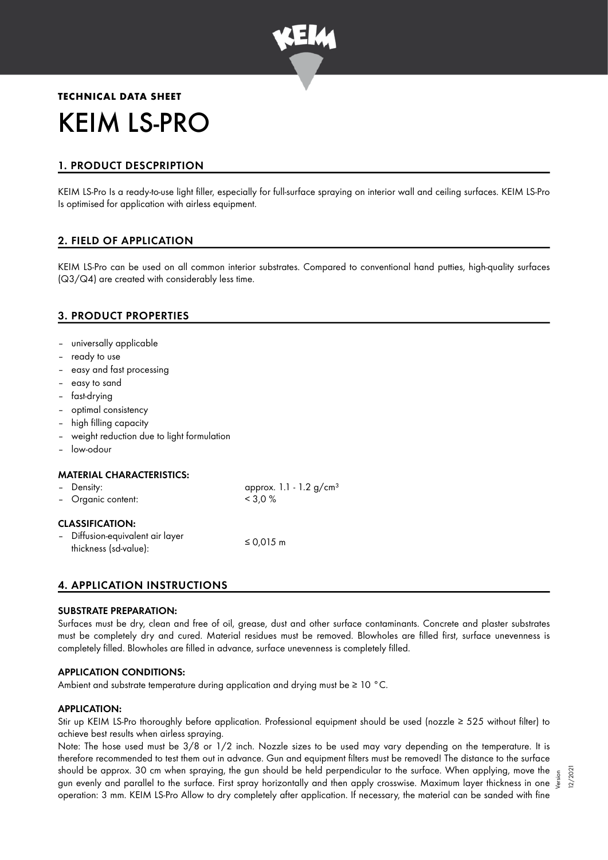

# **TECHNICAL DATA SHEET** KEIM LS-PRO

# 1. PRODUCT DESCPRIPTION

KEIM LS-Pro Is a ready-to-use light filler, especially for full-surface spraying on interior wall and ceiling surfaces. KEIM LS-Pro Is optimised for application with airless equipment.

# 2. FIELD OF APPLICATION

KEIM LS-Pro can be used on all common interior substrates. Compared to conventional hand putties, high-quality surfaces (Q3/Q4) are created with considerably less time.

# 3. PRODUCT PROPERTIES

- universally applicable
- ready to use
- easy and fast processing
- easy to sand
- fast-drying
- optimal consistency
- high filling capacity
- weight reduction due to light formulation
- low-odour

## MATERIAL CHARACTERISTICS:

| - Density:<br>- Organic content:                          | approx. $1.1 - 1.2$ g/cm <sup>3</sup><br>$<$ 3.0 % |  |
|-----------------------------------------------------------|----------------------------------------------------|--|
| <b>CLASSIFICATION:</b>                                    |                                                    |  |
| - Diffusion-equivalent air layer<br>thickness (sd-value): | ≤ 0,015 m                                          |  |

# 4. APPLICATION INSTRUCTIONS

#### SUBSTRATE PREPARATION:

Surfaces must be dry, clean and free of oil, grease, dust and other surface contaminants. Concrete and plaster substrates must be completely dry and cured. Material residues must be removed. Blowholes are filled first, surface unevenness is completely filled. Blowholes are filled in advance, surface unevenness is completely filled.

#### APPLICATION CONDITIONS:

Ambient and substrate temperature during application and drying must be ≥ 10 °C.

#### APPLICATION:

Stir up KEIM LS-Pro thoroughly before application. Professional equipment should be used (nozzle ≥ 525 without filter) to achieve best results when airless spraying.

Note: The hose used must be 3/8 or 1/2 inch. Nozzle sizes to be used may vary depending on the temperature. It is therefore recommended to test them out in advance. Gun and equipment filters must be removed! The distance to the surface should be approx. 30 cm when spraying, the gun should be held perpendicular to the surface. When applying, move the should be approx. 30 cm when spraying, the gun should be held perpendicular to the surtace. When applying, move the  $\frac{5}{5}$ <br>gun evenly and parallel to the surface. First spray horizontally and then apply crosswise. Maxim operation: 3 mm. KEIM LS-Pro Allow to dry completely after application. If necessary, the material can be sanded with fine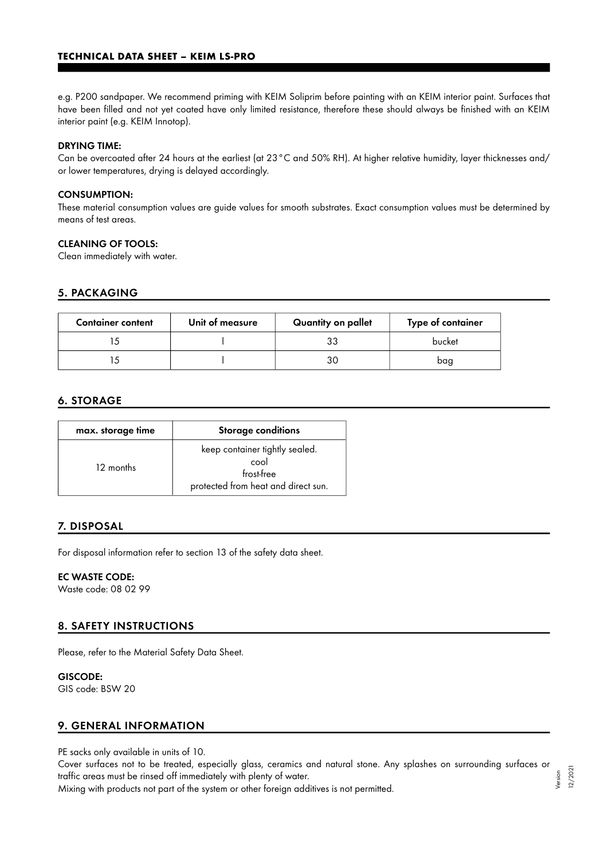e.g. P200 sandpaper. We recommend priming with KEIM Soliprim before painting with an KEIM interior paint. Surfaces that have been filled and not yet coated have only limited resistance, therefore these should always be finished with an KEIM interior paint (e.g. KEIM Innotop).

#### DRYING TIME:

Can be overcoated after 24 hours at the earliest (at 23°C and 50% RH). At higher relative humidity, layer thicknesses and/ or lower temperatures, drying is delayed accordingly.

#### CONSUMPTION:

These material consumption values are guide values for smooth substrates. Exact consumption values must be determined by means of test areas.

#### CLEANING OF TOOLS:

Clean immediately with water.

## 5. PACKAGING

| <b>Container content</b> | Unit of measure | Quantity on pallet | Type of container |
|--------------------------|-----------------|--------------------|-------------------|
|                          |                 | 33                 | bucket            |
|                          |                 | 3С                 | bag               |

## 6. STORAGE

| max. storage time | <b>Storage conditions</b>                                                                   |
|-------------------|---------------------------------------------------------------------------------------------|
| 12 months         | keep container tightly sealed.<br>cool<br>frost-free<br>protected from heat and direct sun. |

# 7. DISPOSAL

For disposal information refer to section 13 of the safety data sheet.

### EC WASTE CODE:

Waste code: 08 02 99

## 8. SAFETY INSTRUCTIONS

Please, refer to the Material Safety Data Sheet.

#### GISCODE:

GIS code: BSW 20

## 9. GENERAL INFORMATION

PE sacks only available in units of 10.

Cover surfaces not to be treated, especially glass, ceramics and natural stone. Any splashes on surrounding surfaces or traffic areas must be rinsed off immediately with plenty of water. Version

Mixing with products not part of the system or other foreign additives is not permitted.